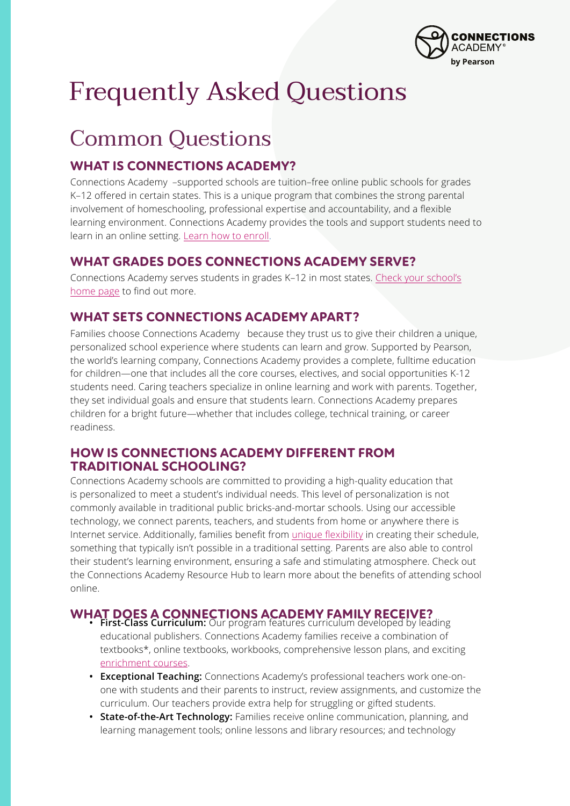

# Frequently Asked Questions

### Common Questions

#### **WHAT IS CONNECTIONS ACADEMY?**

Connections Academy –supported schools are tuition–free online public schools for grades K–12 offered in certain states. This is a unique program that combines the strong parental involvement of homeschooling, professional expertise and accountability, and a flexible learning environment. Connections Academy provides the tools and support students need to learn in an online setting. [Learn how to enroll](https://www.connectionsacademy.com/enroll).

#### **WHAT GRADES DOES CONNECTIONS ACADEMY SERVE?**

Connections Academy serves students in grades K–12 in most states. [Check your school's](https://www.connectionsacademy.com/schools-near-me) [home page](https://www.connectionsacademy.com/schools-near-me) to find out more.

#### **WHAT SETS CONNECTIONS ACADEMY APART?**

Families choose Connections Academy because they trust us to give their children a unique, personalized school experience where students can learn and grow. Supported by Pearson, the world's learning company, Connections Academy provides a complete, fulltime education for children—one that includes all the core courses, electives, and social opportunities K-12 students need. Caring teachers specialize in online learning and work with parents. Together, they set individual goals and ensure that students learn. Connections Academy prepares children for a bright future—whether that includes college, technical training, or career readiness.

#### **HOW IS CONNECTIONS ACADEMY DIFFERENT FROM TRADITIONAL SCHOOLING?**

Connections Academy schools are committed to providing a high-quality education that is personalized to meet a student's individual needs. This level of personalization is not commonly available in traditional public bricks-and-mortar schools. Using our accessible technology, we connect parents, teachers, and students from home or anywhere there is Internet service. Additionally, families benefit from [unique flexibility](https://www.connectionsacademy.com/support/resources/article/five-main-benefits-of-online-school) in creating their schedule, something that typically isn't possible in a traditional setting. Parents are also able to control their student's learning environment, ensuring a safe and stimulating atmosphere. Check out the Connections Academy Resource Hub to learn more about the benefits of attending school online.

### **WHAT DOES A CONNECTIONS ACADEMY FAMILY RECEIVE? • First-Class Curriculum:** Our program features curriculum developed by leading

- educational publishers. Connections Academy families receive a combination of textbooks\*, online textbooks, workbooks, comprehensive lesson plans, and exciting [enrichment courses](https://www.connectionsacademy.com/program/curriculum).
- **• Exceptional Teaching:** Connections Academy's professional teachers work one-onone with students and their parents to instruct, review assignments, and customize the curriculum. Our teachers provide extra help for struggling or gifted students.
- **• State-of-the-Art Technology:** Families receive online communication, planning, and learning management tools; online lessons and library resources; and technology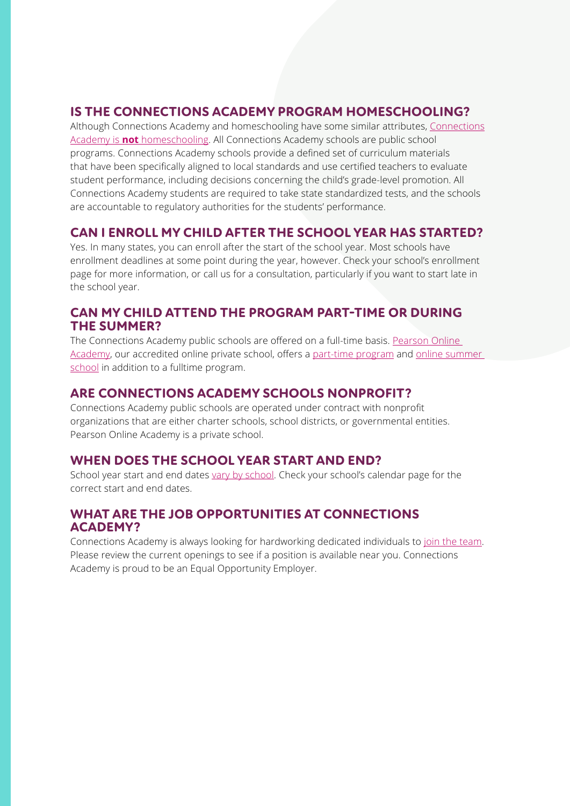#### **IS THE CONNECTIONS ACADEMY PROGRAM HOMESCHOOLING?**

Although Connections Academy and homeschooling have some similar attributes, [Connections](https://www.connectionsacademy.com/about/what-to-expect/homeschool) Academy is **not** [homeschooling.](https://www.connectionsacademy.com/about/what-to-expect/homeschool) All Connections Academy schools are public school programs. Connections Academy schools provide a defined set of curriculum materials that have been specifically aligned to local standards and use certified teachers to evaluate student performance, including decisions concerning the child's grade-level promotion. All Connections Academy students are required to take state standardized tests, and the schools are accountable to regulatory authorities for the students' performance.

#### **CAN I ENROLL MY CHILD AFTER THE SCHOOL YEAR HAS STARTED?**

Yes. In many states, you can enroll after the start of the school year. Most schools have enrollment deadlines at some point during the year, however. Check your school's enrollment page for more information, or call us for a consultation, particularly if you want to start late in the school year.

#### **CAN MY CHILD ATTEND THE PROGRAM PART-TIME OR DURING THE SUMMER?**

The Connections Academy public schools are offered on a full-time basis. [Pearson Online](https://www.pearsononlineacademy.com/?_gl=1*178px10*_ga*mtixnda1njyxms4xnjq0mda5nza5*_gid*otk5mjk4otexlje2ndqwmdk3mdk.*_ga_hx4xfkt05c*mty0ndawotcxmc4xljeumty0ndaxmzazny4w&sessionguid=57e561dc-ee78-5331-392c-25e402cc6bca&websyncid=b6a45825-1313-a770-d228-4a6a06c6e870) [Academy](https://www.pearsononlineacademy.com/?_gl=1*178px10*_ga*mtixnda1njyxms4xnjq0mda5nza5*_gid*otk5mjk4otexlje2ndqwmdk3mdk.*_ga_hx4xfkt05c*mty0ndawotcxmc4xljeumty0ndaxmzazny4w&sessionguid=57e561dc-ee78-5331-392c-25e402cc6bca&websyncid=b6a45825-1313-a770-d228-4a6a06c6e870), our accredited online private school, offers a [part-time program](https://www.pearsononlineacademy.com/curriculum/individual-online-courses?sessionGUID=57e561dc-ee78-5331-392c-25e402cc6bca&webSyncID=b6a45825-1313-a770-d228-4a6a06c6e870&sessionGUID=6dcd9193-8be4-d270-dc50-924de11d1b82&_gl=1*1cjlq9w*_ga*MTIxNDA1NjYxMS4xNjQ0MDA5NzA5*_gid*OTk5Mjk4OTExLjE2NDQwMDk3MDk.*_ga_HX4XFKT05C*MTY0NDAwOTcxMC4xLjEuMTY0NDAxMzA0MS4w) and [online summer](https://www.pearsononlineacademy.com/curriculum/online-summer-school?_gl=1*1l6h3hl*_ga*mtixnda1njyxms4xnjq0mda5nza5*_gid*otk5mjk4otexlje2ndqwmdk3mdk.*_ga_hx4xfkt05c*mty0ndawotcxmc4xljeumty0ndaxmza3my4w&sessionguid=57e561dc-ee78-5331-392c-25e402cc6bca&websyncid=b6a45825-1313-a770-d228-4a6a06c6e870) [school](https://www.pearsononlineacademy.com/curriculum/online-summer-school?_gl=1*1l6h3hl*_ga*mtixnda1njyxms4xnjq0mda5nza5*_gid*otk5mjk4otexlje2ndqwmdk3mdk.*_ga_hx4xfkt05c*mty0ndawotcxmc4xljeumty0ndaxmza3my4w&sessionguid=57e561dc-ee78-5331-392c-25e402cc6bca&websyncid=b6a45825-1313-a770-d228-4a6a06c6e870) in addition to a fulltime program.

#### **ARE CONNECTIONS ACADEMY SCHOOLS NONPROFIT?**

Connections Academy public schools are operated under contract with nonprofit organizations that are either charter schools, school districts, or governmental entities. Pearson Online Academy is a private school.

#### **WHEN DOES THE SCHOOL YEAR START AND END?**

School year start and end dates [vary by school](https://www.connectionsacademy.com/schools-near-me). Check your school's calendar page for the correct start and end dates.

#### **WHAT ARE THE JOB OPPORTUNITIES AT CONNECTIONS ACADEMY?**

Connections Academy is always looking for hardworking dedicated individuals to [join the team](https://www.connectionsacademy.com/careers). Please review the current openings to see if a position is available near you. Connections Academy is proud to be an Equal Opportunity Employer.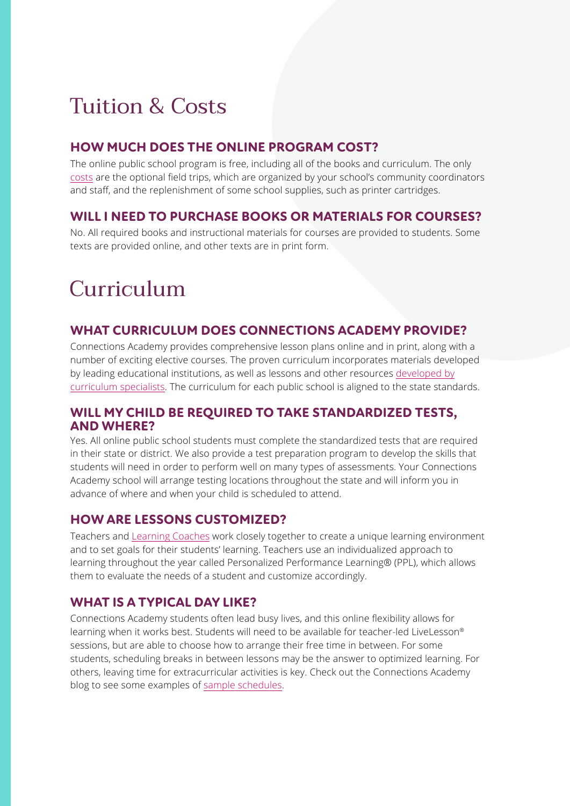### Tuition & Costs

#### **HOW MUCH DOES THE ONLINE PROGRAM COST?**

The online public school program is free, including all of the books and curriculum. The only [costs](https://www.connectionsacademy.com/program/cost) are the optional field trips, which are organized by your school's community coordinators and staff, and the replenishment of some school supplies, such as printer cartridges.

#### **WILL I NEED TO PURCHASE BOOKS OR MATERIALS FOR COURSES?**

No. All required books and instructional materials for courses are provided to students. Some texts are provided online, and other texts are in print form.

## Curriculum

#### **WHAT CURRICULUM DOES CONNECTIONS ACADEMY PROVIDE?**

Connections Academy provides comprehensive lesson plans online and in print, along with a number of exciting elective courses. The proven curriculum incorporates materials developed by leading educational institutions, as well as lessons and other resources [developed by](https://www.connectionsacademy.com/program/curriculum) [curriculum specialists](https://www.connectionsacademy.com/program/curriculum). The curriculum for each public school is aligned to the state standards.

#### **WILL MY CHILD BE REQUIRED TO TAKE STANDARDIZED TESTS, AND WHERE?**

Yes. All online public school students must complete the standardized tests that are required in their state or district. We also provide a test preparation program to develop the skills that students will need in order to perform well on many types of assessments. Your Connections Academy school will arrange testing locations throughout the state and will inform you in advance of where and when your child is scheduled to attend.

#### **HOW ARE LESSONS CUSTOMIZED?**

Teachers and [Learning Coaches](https://www.connectionsacademy.com/program/parents) work closely together to create a unique learning environment and to set goals for their students' learning. Teachers use an individualized approach to learning throughout the year called Personalized Performance Learning® (PPL), which allows them to evaluate the needs of a student and customize accordingly.

#### **WHAT IS A TYPICAL DAY LIKE?**

Connections Academy students often lead busy lives, and this online flexibility allows for learning when it works best. Students will need to be available for teacher-led LiveLesson® sessions, but are able to choose how to arrange their free time in between. For some students, scheduling breaks in between lessons may be the answer to optimized learning. For others, leaving time for extracurricular activities is key. Check out the Connections Academy blog to see some examples of [sample schedules](https://www.connectionsacademy.com/support/resources/article/5-sample-online-school-schedules-for-families).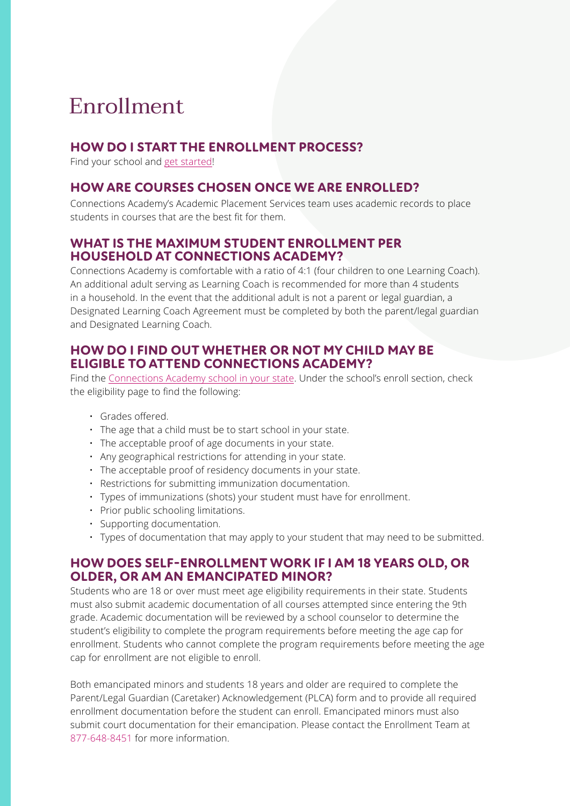### Enrollment

#### **HOW DO I START THE ENROLLMENT PROCESS?**

Find your school and [get started](https://www.connectionsacademy.com/enroll)!

#### **HOW ARE COURSES CHOSEN ONCE WE ARE ENROLLED?**

Connections Academy's Academic Placement Services team uses academic records to place students in courses that are the best fit for them.

#### **WHAT IS THE MAXIMUM STUDENT ENROLLMENT PER HOUSEHOLD AT CONNECTIONS ACADEMY?**

Connections Academy is comfortable with a ratio of 4:1 (four children to one Learning Coach). An additional adult serving as Learning Coach is recommended for more than 4 students in a household. In the event that the additional adult is not a parent or legal guardian, a Designated Learning Coach Agreement must be completed by both the parent/legal guardian and Designated Learning Coach.

#### **HOW DO I FIND OUT WHETHER OR NOT MY CHILD MAY BE ELIGIBLE TO ATTEND CONNECTIONS ACADEMY?**

Find the [Connections Academy school in your state](https://www.connectionsacademy.com/schools-near-me). Under the school's enroll section, check the eligibility page to find the following:

- Grades offered.
- The age that a child must be to start school in your state.
- The acceptable proof of age documents in your state.
- Any geographical restrictions for attending in your state.
- The acceptable proof of residency documents in your state.
- Restrictions for submitting immunization documentation.
- Types of immunizations (shots) your student must have for enrollment.
- Prior public schooling limitations.
- Supporting documentation.
- Types of documentation that may apply to your student that may need to be submitted.

#### **HOW DOES SELF-ENROLLMENT WORK IF I AM 18 YEARS OLD, OR OLDER, OR AM AN EMANCIPATED MINOR?**

Students who are 18 or over must meet age eligibility requirements in their state. Students must also submit academic documentation of all courses attempted since entering the 9th grade. Academic documentation will be reviewed by a school counselor to determine the student's eligibility to complete the program requirements before meeting the age cap for enrollment. Students who cannot complete the program requirements before meeting the age cap for enrollment are not eligible to enroll.

Both emancipated minors and students 18 years and older are required to complete the Parent/Legal Guardian (Caretaker) Acknowledgement (PLCA) form and to provide all required enrollment documentation before the student can enroll. Emancipated minors must also submit court documentation for their emancipation. Please contact the Enrollment Team at 877-648-8451 for more information.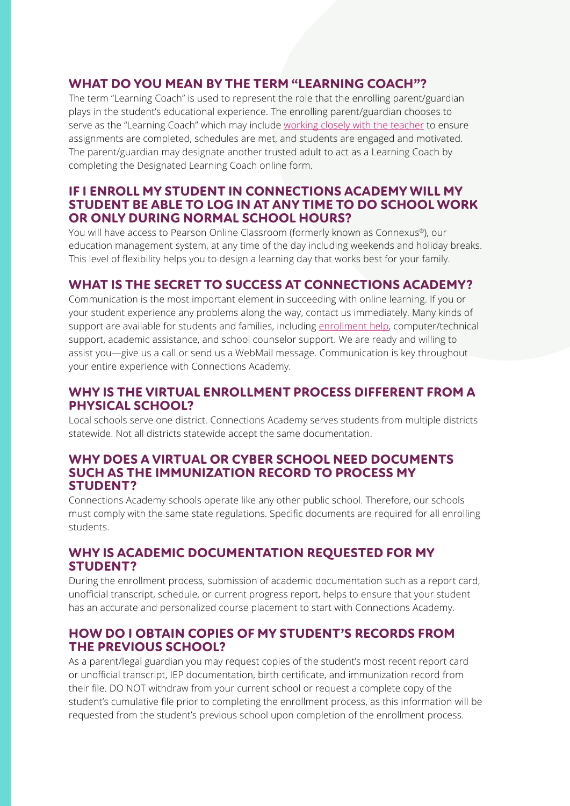#### **WHAT DO YOU MEAN BY THE TERM "LEARNING COACH"?**

The term "Learning Coach" is used to represent the role that the enrolling parent/guardian plays in the student's educational experience. The enrolling parent/guardian chooses to serve as the "Learning Coach" which may include [working closely with the teacher](https://www.connectionsacademy.com/support/resources/article/online-teacher-vs-learning-coach-what-s-the-difference) to ensure assignments are completed, schedules are met, and students are engaged and motivated. The parent/guardian may designate another trusted adult to act as a Learning Coach by completing the Designated Learning Coach online form.

#### **IF I ENROLL MY STUDENT IN CONNECTIONS ACADEMY WILL MY STUDENT BE ABLE TO LOG IN AT ANY TIME TO DO SCHOOL WORK OR ONLY DURING NORMAL SCHOOL HOURS?**

You will have access to Pearson Online Classroom (formerly known as Connexus®), our education management system, at any time of the day including weekends and holiday breaks. This level of flexibility helps you to design a learning day that works best for your family.

#### **WHAT IS THE SECRET TO SUCCESS AT CONNECTIONS ACADEMY?**

Communication is the most important element in succeeding with online learning. If you or your student experience any problems along the way, contact us immediately. Many kinds of support are available for students and families, including [enrollment help](https://www.connectionsacademy.com/enroll), computer/technical support, academic assistance, and school counselor support. We are ready and willing to assist you—give us a call or send us a WebMail message. Communication is key throughout your entire experience with Connections Academy.

#### **WHY IS THE VIRTUAL ENROLLMENT PROCESS DIFFERENT FROM A PHYSICAL SCHOOL?**

Local schools serve one district. Connections Academy serves students from multiple districts statewide. Not all districts statewide accept the same documentation.

#### **WHY DOES A VIRTUAL OR CYBER SCHOOL NEED DOCUMENTS SUCH AS THE IMMUNIZATION RECORD TO PROCESS MY STUDENT?**

Connections Academy schools operate like any other public school. Therefore, our schools must comply with the same state regulations. Specific documents are required for all enrolling students.

#### **WHY IS ACADEMIC DOCUMENTATION REQUESTED FOR MY STUDENT?**

During the enrollment process, submission of academic documentation such as a report card, unofficial transcript, schedule, or current progress report, helps to ensure that your student has an accurate and personalized course placement to start with Connections Academy.

#### **HOW DO I OBTAIN COPIES OF MY STUDENT'S RECORDS FROM THE PREVIOUS SCHOOL?**

As a parent/legal guardian you may request copies of the student's most recent report card or unofficial transcript, IEP documentation, birth certificate, and immunization record from their file. DO NOT withdraw from your current school or request a complete copy of the student's cumulative file prior to completing the enrollment process, as this information will be requested from the student's previous school upon completion of the enrollment process.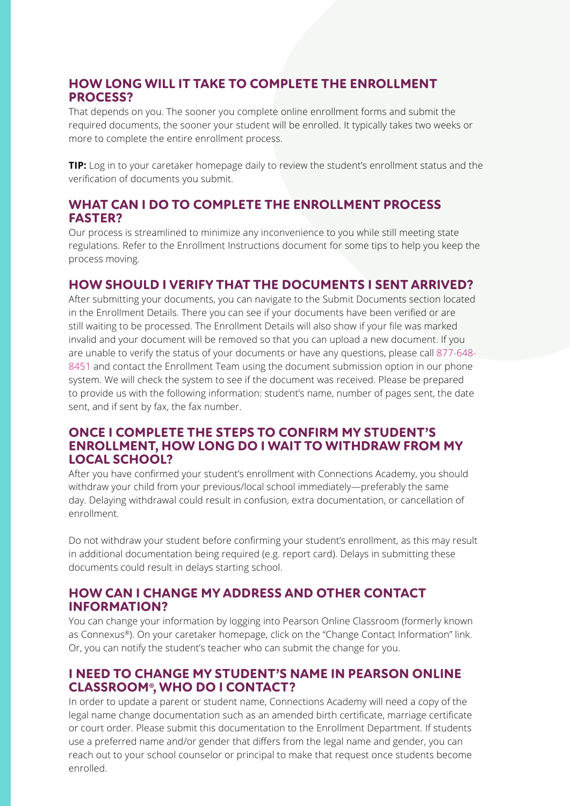#### **HOW LONG WILL IT TAKE TO COMPLETE THE ENROLLMENT PROCESS?**

That depends on you. The sooner you complete online enrollment forms and submit the required documents, the sooner your student will be enrolled. It typically takes two weeks or more to complete the entire enrollment process.

**TIP:** Log in to your caretaker homepage daily to review the student's enrollment status and the verification of documents you submit.

#### **WHAT CAN I DO TO COMPLETE THE ENROLLMENT PROCESS FASTER?**

Our process is streamlined to minimize any inconvenience to you while still meeting state regulations. Refer to the Enrollment Instructions document for some tips to help you keep the process moving.

#### **HOW SHOULD I VERIFY THAT THE DOCUMENTS I SENT ARRIVED?**

After submitting your documents, you can navigate to the Submit Documents section located in the Enrollment Details. There you can see if your documents have been verified or are still waiting to be processed. The Enrollment Details will also show if your file was marked invalid and your document will be removed so that you can upload a new document. If you are unable to verify the status of your documents or have any questions, please call 877-648- 8451 and contact the Enrollment Team using the document submission option in our phone system. We will check the system to see if the document was received. Please be prepared to provide us with the following information: student's name, number of pages sent, the date sent, and if sent by fax, the fax number.

#### **ONCE I COMPLETE THE STEPS TO CONFIRM MY STUDENT'S ENROLLMENT, HOW LONG DO I WAIT TO WITHDRAW FROM MY LOCAL SCHOOL?**

After you have confirmed your student's enrollment with Connections Academy, you should withdraw your child from your previous/local school immediately—preferably the same day. Delaying withdrawal could result in confusion, extra documentation, or cancellation of enrollment.

Do not withdraw your student before confirming your student's enrollment, as this may result in additional documentation being required (e.g. report card). Delays in submitting these documents could result in delays starting school.

#### **HOW CAN I CHANGE MY ADDRESS AND OTHER CONTACT INFORMATION?**

You can change your information by logging into Pearson Online Classroom (formerly known as Connexus®). On your caretaker homepage, click on the "Change Contact Information" link. Or, you can notify the student's teacher who can submit the change for you.

#### **I NEED TO CHANGE MY STUDENT'S NAME IN PEARSON ONLINE CLASSROOM®, WHO DO I CONTACT?**

In order to update a parent or student name, Connections Academy will need a copy of the legal name change documentation such as an amended birth certificate, marriage certificate or court order. Please submit this documentation to the Enrollment Department. If students use a preferred name and/or gender that differs from the legal name and gender, you can reach out to your school counselor or principal to make that request once students become enrolled.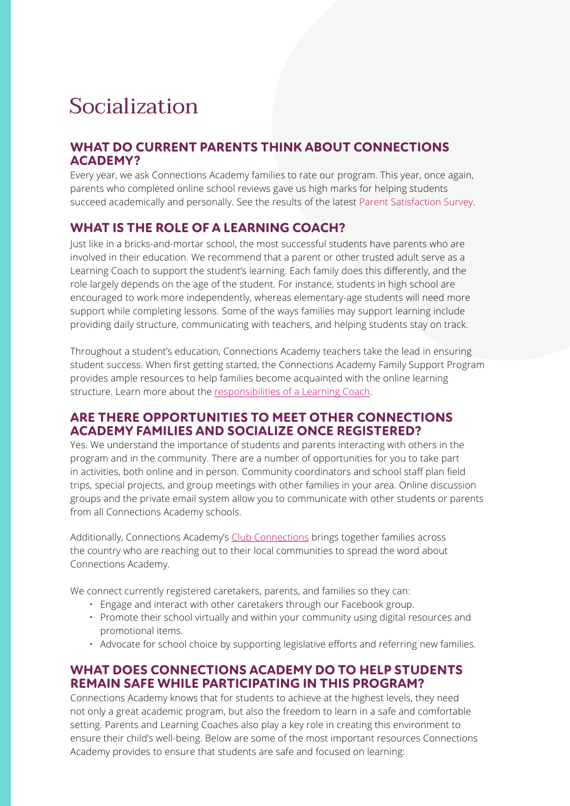### Socialization

#### **WHAT DO CURRENT PARENTS THINK ABOUT CONNECTIONS ACADEMY?**

Every year, we ask Connections Academy families to rate our program. This year, once again, parents who completed online school reviews gave us high marks for helping students succeed academically and personally. See the results of the latest Parent Satisfaction Survey.

#### **WHAT IS THE ROLE OF A LEARNING COACH?**

Just like in a bricks-and-mortar school, the most successful students have parents who are involved in their education. We recommend that a parent or other trusted adult serve as a Learning Coach to support the student's learning. Each family does this differently, and the role largely depends on the age of the student. For instance, students in high school are encouraged to work more independently, whereas elementary-age students will need more support while completing lessons. Some of the ways families may support learning include providing daily structure, communicating with teachers, and helping students stay on track.

Throughout a student's education, Connections Academy teachers take the lead in ensuring student success. When first getting started, the Connections Academy Family Support Program provides ample resources to help families become acquainted with the online learning structure. Learn more about the [responsibilities of a Learning Coach](https://www.connectionsacademy.com/program/parents).

#### **ARE THERE OPPORTUNITIES TO MEET OTHER CONNECTIONS ACADEMY FAMILIES AND SOCIALIZE ONCE REGISTERED?**

Yes. We understand the importance of students and parents interacting with others in the program and in the community. There are a number of opportunities for you to take part in activities, both online and in person. Community coordinators and school staff plan field trips, special projects, and group meetings with other families in your area. Online discussion groups and the private email system allow you to communicate with other students or parents from all Connections Academy schools.

Additionally, Connections Academy's [Club Connections](https://www.connectionsacademy.com/club-connections) brings together families across the country who are reaching out to their local communities to spread the word about Connections Academy.

We connect currently registered caretakers, parents, and families so they can:

- Engage and interact with other caretakers through our Facebook group.
- Promote their school virtually and within your community using digital resources and promotional items.
- Advocate for school choice by supporting legislative efforts and referring new families.

#### **WHAT DOES CONNECTIONS ACADEMY DO TO HELP STUDENTS REMAIN SAFE WHILE PARTICIPATING IN THIS PROGRAM?**

Connections Academy knows that for students to achieve at the highest levels, they need not only a great academic program, but also the freedom to learn in a safe and comfortable setting. Parents and Learning Coaches also play a key role in creating this environment to ensure their child's well-being. Below are some of the most important resources Connections Academy provides to ensure that students are safe and focused on learning: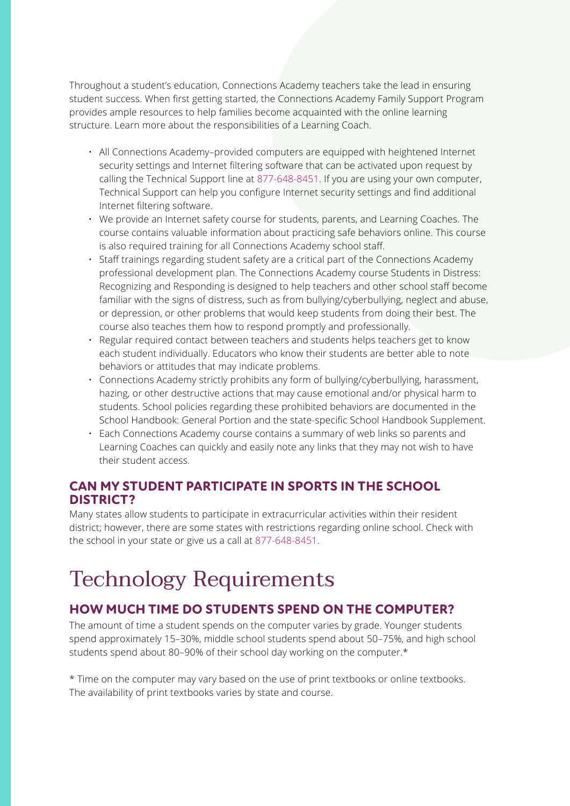Throughout a student's education, Connections Academy teachers take the lead in ensuring student success. When first getting started, the Connections Academy Family Support Program provides ample resources to help families become acquainted with the online learning structure. Learn more about the responsibilities of a Learning Coach.

- All Connections Academy–provided computers are equipped with heightened Internet security settings and Internet filtering software that can be activated upon request by calling the Technical Support line at 877-648-8451. If you are using your own computer, Technical Support can help you configure Internet security settings and find additional Internet filtering software.
- We provide an Internet safety course for students, parents, and Learning Coaches. The course contains valuable information about practicing safe behaviors online. This course is also required training for all Connections Academy school staff.
- Staff trainings regarding student safety are a critical part of the Connections Academy professional development plan. The Connections Academy course Students in Distress: Recognizing and Responding is designed to help teachers and other school staff become familiar with the signs of distress, such as from bullying/cyberbullying, neglect and abuse, or depression, or other problems that would keep students from doing their best. The course also teaches them how to respond promptly and professionally.
- Regular required contact between teachers and students helps teachers get to know each student individually. Educators who know their students are better able to note behaviors or attitudes that may indicate problems.
- Connections Academy strictly prohibits any form of bullying/cyberbullying, harassment, hazing, or other destructive actions that may cause emotional and/or physical harm to students. School policies regarding these prohibited behaviors are documented in the School Handbook: General Portion and the state-specific School Handbook Supplement.
- Each Connections Academy course contains a summary of web links so parents and Learning Coaches can quickly and easily note any links that they may not wish to have their student access.

#### **CAN MY STUDENT PARTICIPATE IN SPORTS IN THE SCHOOL DISTRICT?**

Many states allow students to participate in extracurricular activities within their resident district; however, there are some states with restrictions regarding online school. Check with the school in your state or give us a call at 877-648-8451.

## Technology Requirements

#### **HOW MUCH TIME DO STUDENTS SPEND ON THE COMPUTER?**

The amount of time a student spends on the computer varies by grade. Younger students spend approximately 15–30%, middle school students spend about 50–75%, and high school students spend about 80–90% of their school day working on the computer.\*

\* Time on the computer may vary based on the use of print textbooks or online textbooks. The availability of print textbooks varies by state and course.